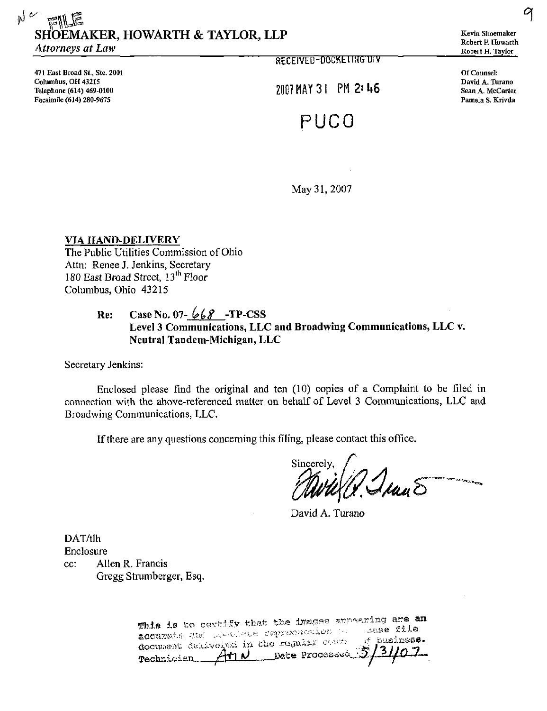## $N$   $\approx$   $mE$ SHOEMAKER, HOWARTH & TAYLOR, LLP Attorneys at Law

471 East Broad St., Ste. 2001 Columbus, OH 43215 Telephone (614) 469-0100 Facsimile (614) 280-9675

RECEIVED-DOCKETING UIV

 $2007$  MAY 31 PM 2:46

# PUCO

Kevin Shoemaker Robert E Howarth Robert H. Taylor

9

Of Counsel: David A. Turano Sean A. McCarter Pamela S. Krivda

May 31, 2007

VIA HAND-DELIVERY The Public Utilities Commission of Ohio Attn: Renee J. Jenkins, Secretary 180 East Broad Street, 13<sup>th</sup> Floor Columbus, Ohio 43215

## Re: Case No. 07- $668$  -TP-CSS Level 3 Communications, LLC and Broadwing Communications, LLC v. Neutral Tandem-Michigan, LLC

Secretary Jenkins:

Enclosed please find the original and ten (10) copies of a Complaint to be filed in connection with the above-referenced matter on behalf of Level 3 Communications, LLC and Broadwing Communications, LLC.

If there are any questions concerning this filing, please contact this office.

Sincerely  $\mu_{\nu}$ E

David A. Turano

DAT/tlh Enclosure

cc: Allen R. Francis Gregg Strumberger, Esq.

> This is to certify that the images supearing are an<br>acouzate the condition reproduction of sesse file Excurate and conducted reproduction to sease file Date Processed <u>AMN</u> Technician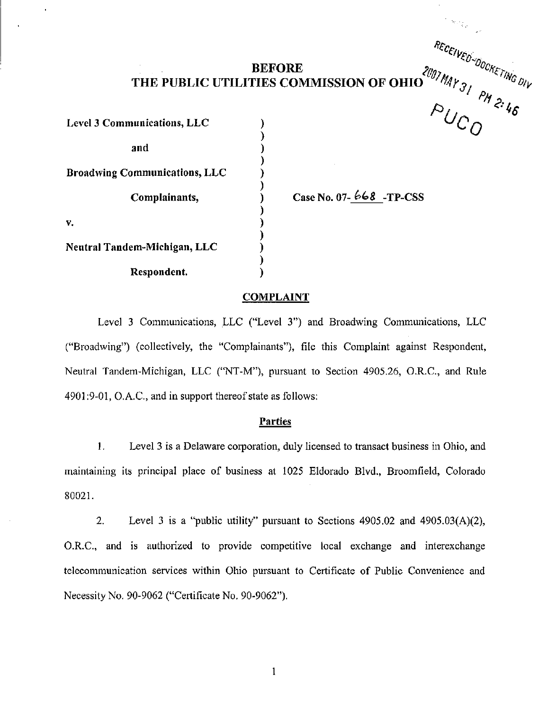## $BEFORE$  2m<sub>1</sub> THE PUBLIC UTILITIES COMMISSION OF OHIO ^^^^4}^

 $\mathcal Y$ 

 $\mathcal{Y}$ 

℩ €  $\mathbf{\ }$  $\mathbf{)}$  $\mathbf{)}$  $\mathbf{)}$  $\lambda$ 

Level 3 Communications, LLC and Broadwing Communications, LLC Complainants, V. Neutral Tandem-Michigan, LLC Respondent.

Case No. 07- $668$  -TP-CSS

<sup>ጥር</sup>ር

 $\gamma$  .  $\epsilon$  .

 $\rho_{L}$ 

UOCKE)

 $U_{C,\alpha}$  "  $\overline{O}$ 

 $3/$   $\sim$   $\frac{v}{V}$ 

#### **COMPLAINT**

Level 3 Communications, LLC ("Level 3") and Broadwing Communications, LLC ("Broadwing") (collectively, the "Complainants"), file this Complaint against Respondent, Neutral Tandem-Michigan, LLC ("NT-M"), pursuant to Section 4905.26, O.R.C., and Rule 4901:9-01, O.A.C, and in support thereof state as follows:

#### Parties

1. Level 3 is a Delaware corporation, duly licensed to transact business in Ohio, and maintaining its principal place of business at 1025 Eldorado Blvd., Broomfield, Colorado 80021.

2. Level 3 is a "public utility" pursuant to Sections 4905.02 and 4905.03(A)(2), O.R.C., and is authorized to provide competitive local exchange and interexchange telecommunication services within Ohio pursuant to Certificate of Public Convenience and Necessity No. 90-9062 ("Certificate No. 90-9062").

 $\mathbf{1}$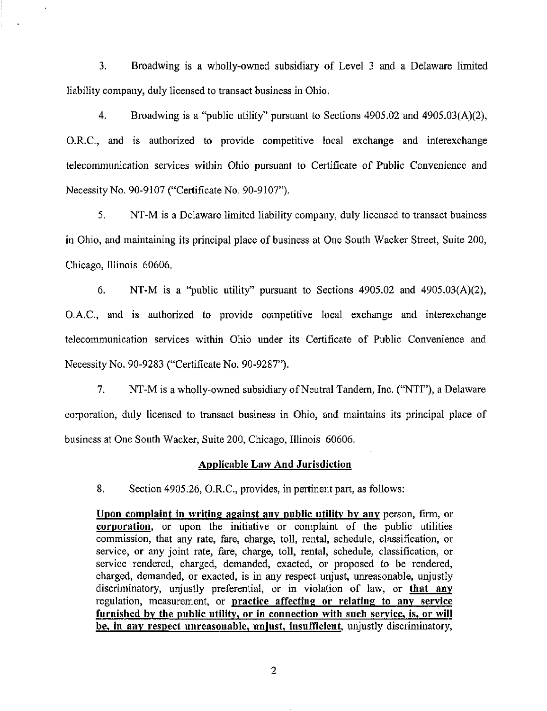3. Broadwing is a wholly-owned subsidiary of Level 3 and a Delaware limited liability company, duly licensed to transact business in Ohio.

4. Broadwing is a "public utility" pursuant to Sections 4905.02 and 4905.03(A)(2), O.R.C, and is authorized to provide competitive local exchange and interexchange telecommunication services within Ohio pursuant to Certificate of Public Convenience and Necessity No. 90-9107 ("Certificate No. 90-9107").

5. NT-M is a Delaware limited liability company, duly licensed to transact business in Ohio, and maintaining its principal place of business at One South Wacker Street, Suite 200, Chicago, Illinois 60606.

6. NT-M is a "public utility" pursuant to Sections 4905.02 and 4905.03(A)(2), O.A.C, and is authorized to provide competitive local exchange and interexchange telecommunication services within Ohio under its Certificate of Public Convenience and Necessity No. 90-9283 ("Certificate No. 90-9287").

7. NT-M is a wholly-owned subsidiary of Neutral Tandem, Inc. ("NTF'), a Delaware corporation, duly licensed to transact business in Ohio, and maintains its principal place of business at One South Wacker, Suite 200, Chicago, Illinois 60606.

#### Applicable Law And Jurisdiction

8. Section 4905.26, O.R.C, provides, in pertinent part, as follows:

Upon complaint in writing against any public utility by any person, firm, or corporation, or upon the initiative or complaint of the public utilities commission, that any rate, fare, charge, toll, rental, schedule, classification, or service, or any joint rate, fare, charge, toll, rental, schedule, classification, or service rendered, charged, demanded, exacted, or proposed to be rendered, charged, demanded, or exacted, is in any respect unjust, unreasonable, unjustly discriminatory, unjustly preferential, or in violation of law, or that any regulation, measurement, or practice affecting or relating to any service furnished by the public utility, or in connection with such service, is., or will be, in any respect unreasonable, unjust, insufficient, unjustly discriminatory,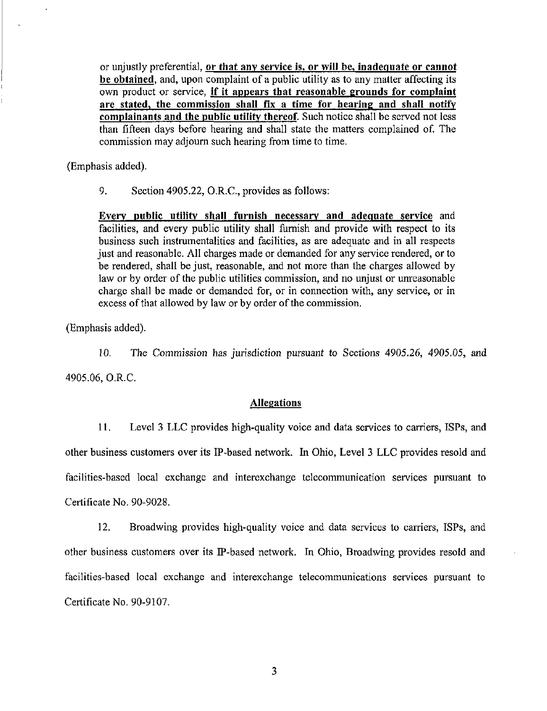or unjustly preferential, or that any service is, or will be, inadequate or cannot be obtained, and, upon complaint of a public utility as to any matter affecting its own product or service, if it appears that reasonable grounds for complaint are stated, the commission shall fix a time for hearing and shall notify complainants and the public utility thereof. Such notice shall be served not less than fifteen days before hearing and shall state the matters complained of. The commission may adjoum such hearing from time to time.

(Emphasis added).

9. Section 4905.22, O.R.C, provides as follows:

Every public utility shall furnish necessary and adequate service and facilities, and every public utility shall furnish and provide with respect to its business such instrumentalities and facilities, as are adequate and in all respects just and reasonable. All charges made or demanded for any service rendered, or to be rendered, shall be just, reasonable, and not more than the charges allowed by law or by order of the public utilities commission, and no unjust or unreasonable charge shall be made or demanded for, or in connection with, any service, or in excess of that allowed by law or by order of the commission.

(Emphasis added).

10. The Commission has jurisdiction pursuant to Sections 4905.26, 4905.05, and 4905.06, O.R.C

#### Allegations

11. Level 3 LLC provides high-quality voice and data services to carriers, ISPs, and other business customers over its IP-based network. In Ohio, Level 3 LLC provides resold and facilities-based local exchange and interexchange telecommunication services pursuant to Certificate No. 90-9028.

12. Broadwing provides high-quality voice and data services to carriers, ISPs, and other business customers over its IP-based network. In Ohio, Broadwing provides resold and facilities-based local exchange and interexchange telecommunications services pursuant to Certificate No. 90-9107.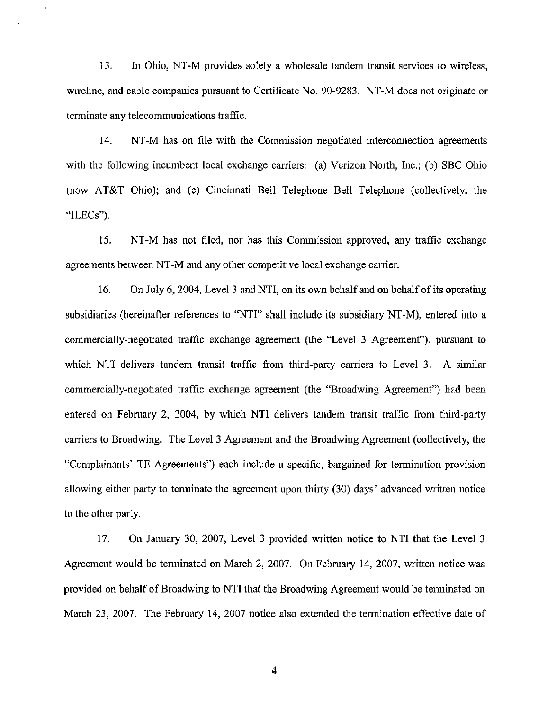13. In Ohio, NT-M provides solely a wholesale tandem transit services to wireless, wireline, and cable companies pursuant to Certificate No. 90-9283, NT-M does not originate or terminate any telecommunications traffic.

14. NT-M has on file with the Commission negotiated interconnection agreements with the following incumbent local exchange carriers: (a) Verizon North, Inc.; (b) SBC Ohio (now AT&T Ohio); and (c) Cincinnati Bell Telephone Bell Telephone (collectively, the "ILECs").

15. NT-M has not filed, nor has this Commission approved, any traffic exchange agreements between NT-M and any other competitive local exchange carrier,

16. On July 6, 2004, Level 3 and NTI, on its own behalf and on behalf of its operating subsidiaries (hereinafter references to "NTI" shall include its subsidiary NT-M), entered into a commercially-negotiated traffic exchange agreement (the "Level 3 Agreement"), pursuant to which NTI delivers tandem transit traffic from third-party carriers to Level 3. A similar commercially-negotiated traffic exchange agreement (the "Broadwing Agreement") had been entered on February 2, 2004, by which NTI delivers tandem transit traffic from third-party carriers to Broadwing. The Level 3 Agreement and the Broadwing Agreement (collectively, the "Complainants' TE Agreements") each include a specific, bargained-for termination provision allowing either party to terminate the agreement upon thirty (30) days' advanced written notice to the other party.

17. On January 30, 2007, Level 3 provided written notice to NTI that the Level 3 Agreement would be terminated on March 2, 2007. On February 14, 2007, written notice was provided on behalf of Broadwing to NTI that the Broadwing Agreement would be terminated on March 23, 2007. The February 14, 2007 notice also extended the termination effective date of

4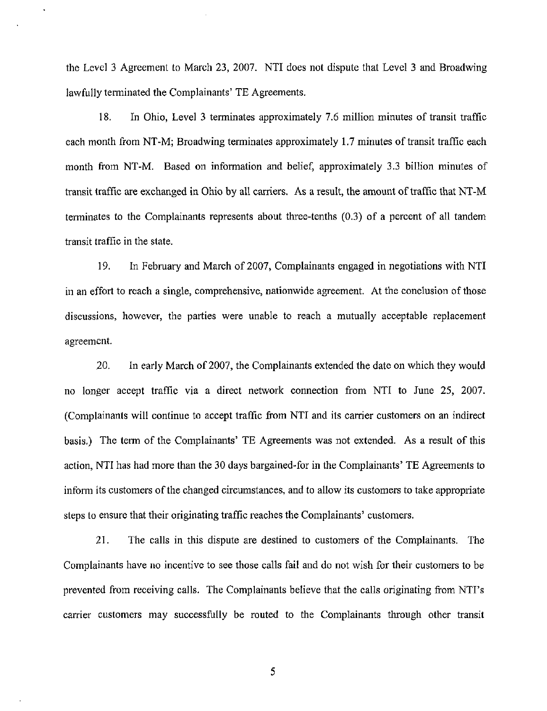the Level 3 Agreement to March 23, 2007. NTI does not dispute that Level 3 and Broadwing lawfully terminated the Complainants' TE Agreements.

18. In Ohio, Level 3 terminates approximately 7.6 million minutes of transit traffic each month from NT-M; Broadwing terminates approximately 1.7 minutes of transit traffic each month from NT-M. Based on information and belief, approximately 3.3 billion minutes of transit traffic are exchanged in Ohio by all carriers. As a result, the amount of traffic that NT-M terminates to the Complainants represents about three-tenths (0.3) of a percent of all tandem transit traffic in the state.

19. In February and March of 2007, Complainants engaged in negotiations with NTI in an effort to reach a single, comprehensive, nationwide agreement. At the conclusion of those discussions, however, the parties were unable to reach a mutually acceptable replacement agreement.

20. In early March of 2007, the Complainants extended the date on which they would no longer accept traffic via a direct network connection from NTI to June 25, 2007. (Complainants will continue to accept traffic from NTI and its carrier customers on an indirect basis.) The term of the Complainants' TE Agreements was not extended. As a result of this action, NTI has had more than the 30 days bargained-for in the Complainants' TE Agreements to inform its customers of the changed circumstances, and to allow its customers to take appropriate steps to ensure that their originating traffic reaches the Complainants' customers.

21. The calls in this dispute are destined to customers of the Complainants. The Complainants have no incentive to see those calls fail and do not wish for their customers to be prevented from receiving calls. The Complainants believe that the calls originating from NTI's carrier customers may successfully be routed to the Complainants through other transit

5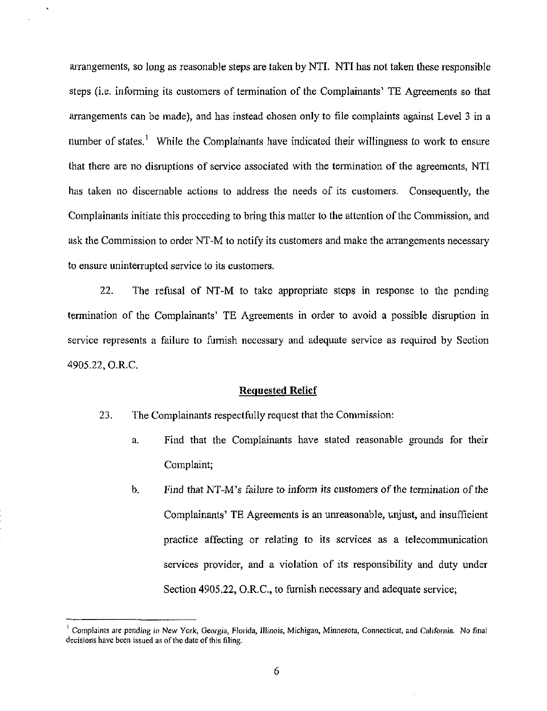arrangements, so long as reasonable steps are taken by NTI. NTI has not taken these responsible steps (i.e. informing its customers of termination of the Complainants' TE Agreements so that arrangements can be made), and has instead chosen only to file complaints against Level 3 in a number of states.<sup>1</sup> While the Complainants have indicated their willingness to work to ensure that there are no disruptions of service associated with the termination of the agreements, NTI has taken no discemable actions to address the needs of its customers. Consequently, the Complainants initiate this proceeding to bring this matter to the attention of the Commission, and ask the Commission to order NT-M to notify its customers and make the arrangements necessary to ensure uninterrupted service to its customers.

22. The refusal of NT-M to take appropriate steps in response to the pending termination of the Complainants' TE Agreements in order to avoid a possible disruption in service represents a failure to furnish necessary and adequate service as required by Section 4905,22, O.R.C

#### Requested Relief

- 23. The Complainants respectfully request that the Commission:
	- a. Find that the Complainants have stated reasonable grounds for their Complaint;
	- b. Find that NT-M's failure to inform its customers of the termination of the Complainants' TE Agreements is an unreasonable, unjust, and insufficient practice affecting or relating to its services as a telecommunication services provider, and a violation of its responsibility and duty under Section 4905.22, O.R.C, to furnish necessary and adequate service;

Complaints are pending in New York, Georgia, Florida, Illinois, Michigan, Minnesota, Connecticut, and California. No final decisions have been issued as of the date of this filing.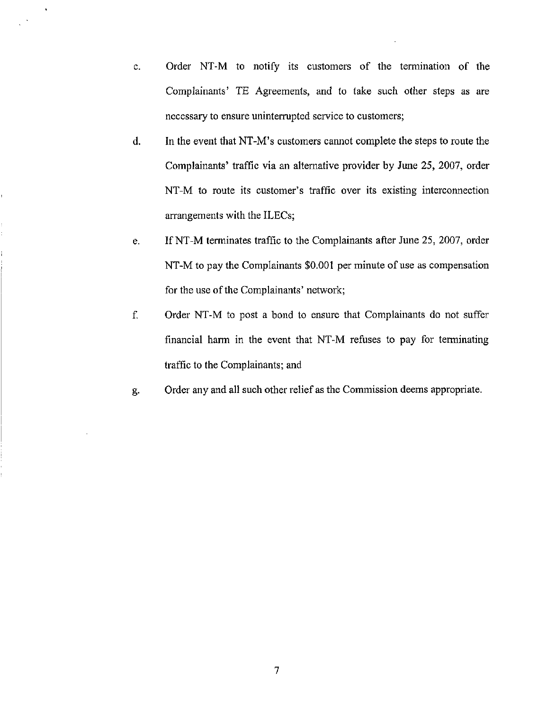- c. Order NT-M to notify its customers of the termination of the Complainants' TE Agreements, and to take such other steps as are necessary to ensure uninterrupted service to customers;
- d. In the event that NT-M's customers cannot complete the steps to route the Complainants' traffic via an altemative provider by June 25, 2007, order NT-M to route its customer's traffic over its existing interconnection arrangements with the ILECs;
- e. If NT-M terminates traffic to the Complainants after June 25, 2007, order NT-M to pay the Complainants \$0,001 per minute of use as compensation for the use of the Complainants' network;
- f. Order NT-M to post a bond to ensure that Complainants do not suffer financial harm in the event that NT-M refuses to pay for terminating traffic to the Complainants; and
- g. Order any and all such other relief as the Commission deems appropriate.